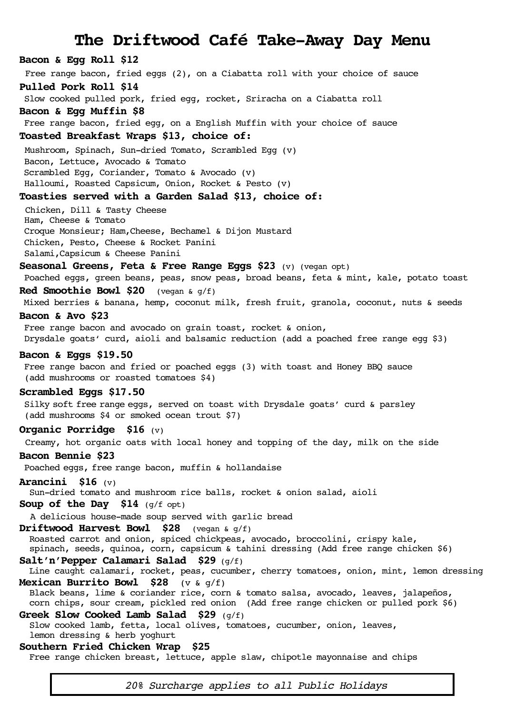# **The Driftwood Café Take-Away Day Menu**

# **Bacon & Egg Roll \$12**

Free range bacon, fried eggs (2), on a Ciabatta roll with your choice of sauce

#### **Pulled Pork Roll \$14**

Slow cooked pulled pork, fried egg, rocket, Sriracha on a Ciabatta roll

## **Bacon & Egg Muffin \$8**

Free range bacon, fried egg, on a English Muffin with your choice of sauce

#### **Toasted Breakfast Wraps \$13, choice of:**

Mushroom, Spinach, Sun-dried Tomato, Scrambled Egg (v) Bacon, Lettuce, Avocado & Tomato Scrambled Egg, Coriander, Tomato & Avocado (v)

Halloumi, Roasted Capsicum, Onion, Rocket & Pesto (v)

### **Toasties served with a Garden Salad \$13, choice of:**

Chicken, Dill & Tasty Cheese Ham, Cheese & Tomato Croque Monsieur; Ham,Cheese, Bechamel & Dijon Mustard Chicken, Pesto, Cheese & Rocket Panini Salami,Capsicum & Cheese Panini

## **Seasonal Greens, Feta & Free Range Eggs \$23** (v) (vegan opt)

 Poached eggs, green beans, peas, snow peas, broad beans, feta & mint, kale, potato toast **Red Smoothie Bowl \$20** (vegan & g/f)

Mixed berries & banana, hemp, coconut milk, fresh fruit, granola, coconut, nuts & seeds

#### **Bacon & Avo \$23**

Free range bacon and avocado on grain toast, rocket & onion, Drysdale goats' curd, aioli and balsamic reduction (add a poached free range egg \$3)

#### **Bacon & Eggs \$19.50**

 Free range bacon and fried or poached eggs (3) with toast and Honey BBQ sauce (add mushrooms or roasted tomatoes \$4)

#### **Scrambled Eggs \$17.50**

 Silky soft free range eggs, served on toast with Drysdale goats' curd & parsley (add mushrooms \$4 or smoked ocean trout \$7)

#### **Organic Porridge \$16** (v)

Creamy, hot organic oats with local honey and topping of the day, milk on the side

## **Bacon Bennie \$23**

Poached eggs, free range bacon, muffin & hollandaise

#### **Arancini \$16** (v)

Sun-dried tomato and mushroom rice balls, rocket & onion salad, aioli

**Soup of the Day \$14** (g/f opt)

A delicious house-made soup served with garlic bread

## **Driftwood Harvest Bowl \$28** (vegan & g/f)

Roasted carrot and onion, spiced chickpeas, avocado, broccolini, crispy kale,

spinach, seeds, quinoa, corn, capsicum & tahini dressing (Add free range chicken \$6)

## **Salt'n'Pepper Calamari Salad \$29** (g/f)

 Line caught calamari, rocket, peas, cucumber, cherry tomatoes, onion, mint, lemon dressing **Mexican Burrito Bowl \$28** (v & g/f)

Black beans, lime & coriander rice, corn & tomato salsa, avocado, leaves, jalapeños,

 corn chips, sour cream, pickled red onion (Add free range chicken or pulled pork \$6) **Greek Slow Cooked Lamb Salad \$29** (g/f)

 Slow cooked lamb, fetta, local olives, tomatoes, cucumber, onion, leaves, lemon dressing & herb yoghurt

#### **Southern Fried Chicken Wrap \$25**

Free range chicken breast, lettuce, apple slaw, chipotle mayonnaise and chips

*20% Surcharge applies to all Public Holidays*